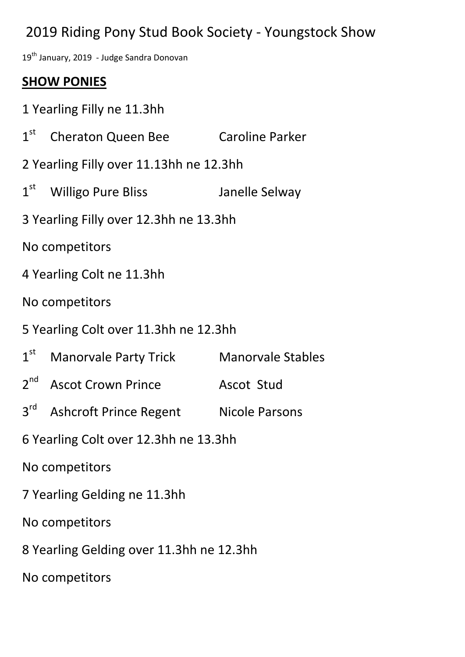# 2019 Riding Pony Stud Book Society - Youngstock Show

19<sup>th</sup> January, 2019 - Judge Sandra Donovan

### **SHOW PONIES**

- 1 Yearling Filly ne 11.3hh
- $1<sup>st</sup>$ Cheraton Queen Bee Caroline Parker
- 2 Yearling Filly over 11.13hh ne 12.3hh
- $1<sup>st</sup>$ Willigo Pure Bliss Janelle Selway
- 3 Yearling Filly over 12.3hh ne 13.3hh
- No competitors
- 4 Yearling Colt ne 11.3hh
- No competitors
- 5 Yearling Colt over 11.3hh ne 12.3hh
- $1<sup>st</sup>$ Manorvale Party Trick Manorvale Stables
- $2<sup>nd</sup>$ Ascot Crown Prince Ascot Stud
- $3<sup>rd</sup>$ Ashcroft Prince Regent Nicole Parsons
- 6 Yearling Colt over 12.3hh ne 13.3hh
- No competitors
- 7 Yearling Gelding ne 11.3hh
- No competitors
- 8 Yearling Gelding over 11.3hh ne 12.3hh
- No competitors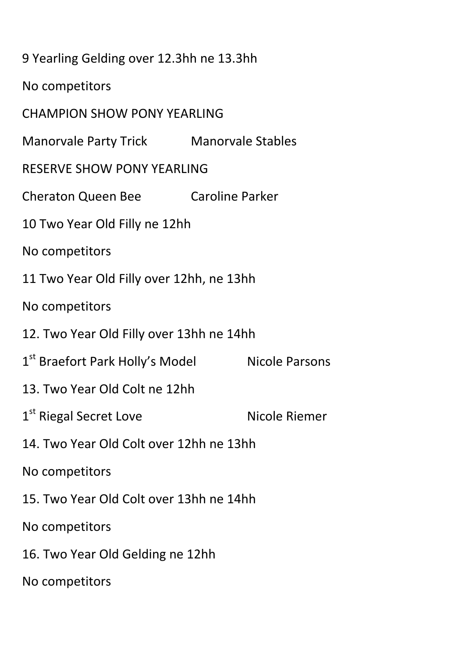| 9 Yearling Gelding over 12.3hh ne 13.3hh    |                          |                |  |
|---------------------------------------------|--------------------------|----------------|--|
| No competitors                              |                          |                |  |
| <b>CHAMPION SHOW PONY YEARLING</b>          |                          |                |  |
| Manorvale Party Trick                       | <b>Manorvale Stables</b> |                |  |
| <b>RESERVE SHOW PONY YEARLING</b>           |                          |                |  |
| <b>Cheraton Queen Bee</b>                   | Caroline Parker          |                |  |
| 10 Two Year Old Filly ne 12hh               |                          |                |  |
| No competitors                              |                          |                |  |
| 11 Two Year Old Filly over 12hh, ne 13hh    |                          |                |  |
| No competitors                              |                          |                |  |
| 12. Two Year Old Filly over 13hh ne 14hh    |                          |                |  |
| 1 <sup>st</sup> Braefort Park Holly's Model |                          | Nicole Parsons |  |
| 13. Two Year Old Colt ne 12hh               |                          |                |  |
| 1 <sup>st</sup> Riegal Secret Love          |                          | Nicole Riemer  |  |
| 14. Two Year Old Colt over 12hh ne 13hh     |                          |                |  |
| No competitors                              |                          |                |  |
| 15. Two Year Old Colt over 13hh ne 14hh     |                          |                |  |
| No competitors                              |                          |                |  |
| 16. Two Year Old Gelding ne 12hh            |                          |                |  |
| No competitors                              |                          |                |  |
|                                             |                          |                |  |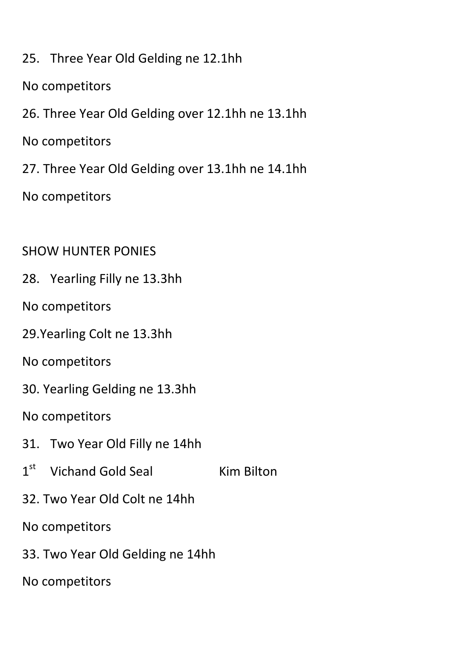- 25. Three Year Old Gelding ne 12.1hh
- No competitors
- 26. Three Year Old Gelding over 12.1hh ne 13.1hh
- No competitors
- 27. Three Year Old Gelding over 13.1hh ne 14.1hh
- No competitors

### SHOW HUNTER PONIES

- 28. Yearling Filly ne 13.3hh
- No competitors
- 29.Yearling Colt ne 13.3hh
- No competitors
- 30. Yearling Gelding ne 13.3hh
- No competitors
- 31. Two Year Old Filly ne 14hh
- $1<sup>st</sup>$ Vichand Gold Seal Kim Bilton
- 32. Two Year Old Colt ne 14hh
- No competitors
- 33. Two Year Old Gelding ne 14hh
- No competitors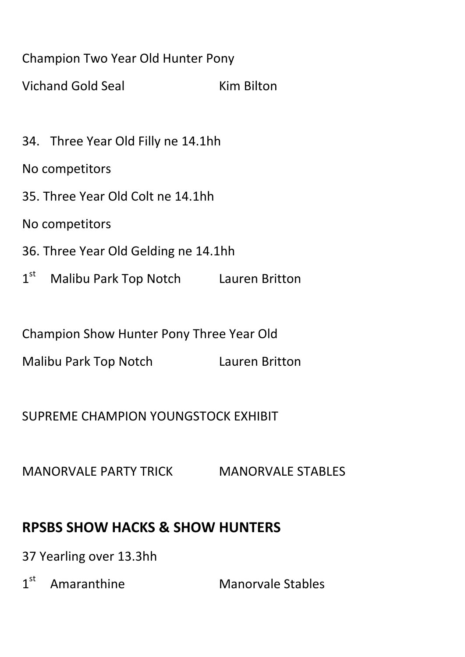### Champion Two Year Old Hunter Pony

Vichand Gold Seal Kim Bilton

34. Three Year Old Filly ne 14.1hh

No competitors

35. Three Year Old Colt ne 14.1hh

No competitors

- 36. Three Year Old Gelding ne 14.1hh
- $1<sup>st</sup>$ Malibu Park Top Notch Lauren Britton

Champion Show Hunter Pony Three Year Old

Malibu Park Top Notch Lauren Britton

SUPREME CHAMPION YOUNGSTOCK EXHIBIT

MANORVALE PARTY TRICK MANORVALE STABLES

# **RPSBS SHOW HACKS & SHOW HUNTERS**

37 Yearling over 13.3hh

 $1<sup>st</sup>$ Amaranthine Manorvale Stables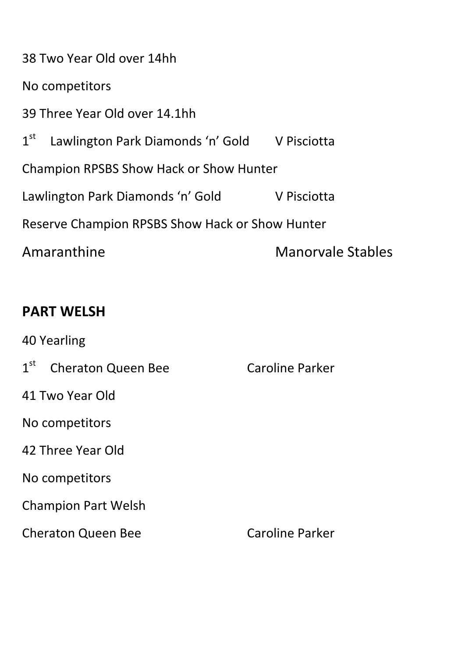38 Two Year Old over 14hh No competitors 39 Three Year Old over 14.1hh  $1<sup>st</sup>$ Lawlington Park Diamonds 'n' Gold V Pisciotta Champion RPSBS Show Hack or Show Hunter Lawlington Park Diamonds 'n' Gold V Pisciotta Reserve Champion RPSBS Show Hack or Show Hunter Amaranthine Manorvale Stables

## **PART WELSH**

40 Yearling 1<sup>st</sup> Cheraton Queen Bee Caroline Parker 41 Two Year Old No competitors 42 Three Year Old No competitors Champion Part Welsh Cheraton Queen Bee Caroline Parker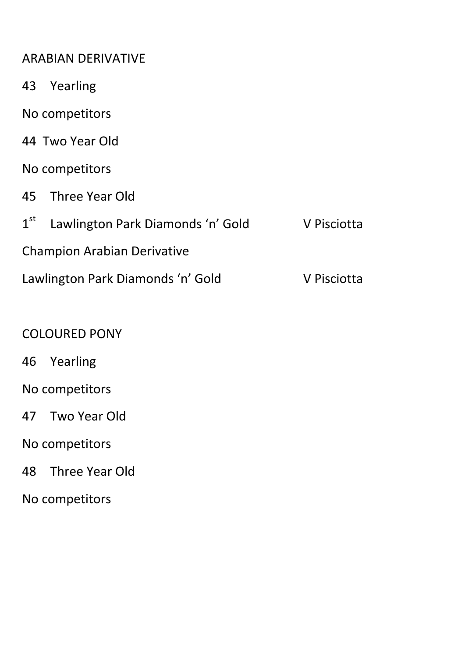#### ARABIAN DERIVATIVE

- 43 Yearling
- No competitors
- 44 Two Year Old
- No competitors
- 45 Three Year Old
- $1<sup>st</sup>$ Lawlington Park Diamonds 'n' Gold V Pisciotta Champion Arabian Derivative Lawlington Park Diamonds 'n' Gold V Pisciotta

#### COLOURED PONY

- 46 Yearling
- No competitors
- 47 Two Year Old
- No competitors
- 48 Three Year Old
- No competitors